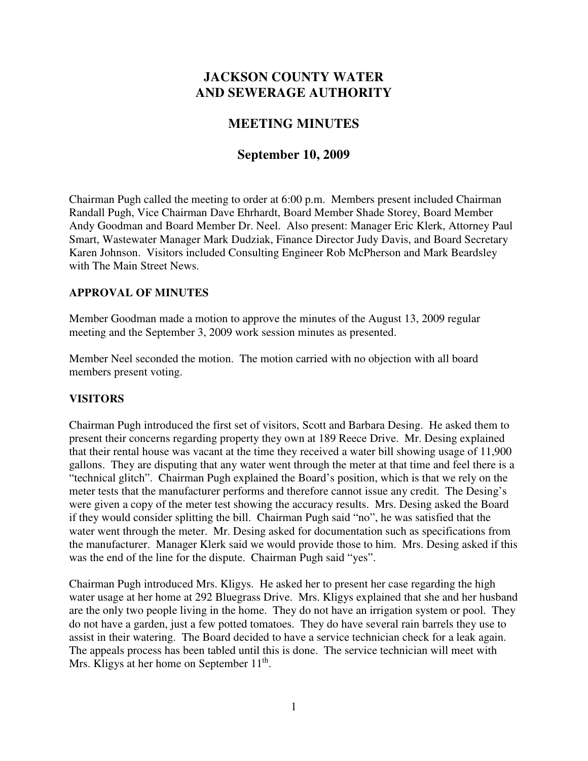# **JACKSON COUNTY WATER AND SEWERAGE AUTHORITY**

## **MEETING MINUTES**

## **September 10, 2009**

Chairman Pugh called the meeting to order at 6:00 p.m. Members present included Chairman Randall Pugh, Vice Chairman Dave Ehrhardt, Board Member Shade Storey, Board Member Andy Goodman and Board Member Dr. Neel. Also present: Manager Eric Klerk, Attorney Paul Smart, Wastewater Manager Mark Dudziak, Finance Director Judy Davis, and Board Secretary Karen Johnson. Visitors included Consulting Engineer Rob McPherson and Mark Beardsley with The Main Street News.

#### **APPROVAL OF MINUTES**

Member Goodman made a motion to approve the minutes of the August 13, 2009 regular meeting and the September 3, 2009 work session minutes as presented.

Member Neel seconded the motion. The motion carried with no objection with all board members present voting.

## **VISITORS**

Chairman Pugh introduced the first set of visitors, Scott and Barbara Desing. He asked them to present their concerns regarding property they own at 189 Reece Drive. Mr. Desing explained that their rental house was vacant at the time they received a water bill showing usage of 11,900 gallons. They are disputing that any water went through the meter at that time and feel there is a "technical glitch". Chairman Pugh explained the Board's position, which is that we rely on the meter tests that the manufacturer performs and therefore cannot issue any credit. The Desing's were given a copy of the meter test showing the accuracy results. Mrs. Desing asked the Board if they would consider splitting the bill. Chairman Pugh said "no", he was satisfied that the water went through the meter. Mr. Desing asked for documentation such as specifications from the manufacturer. Manager Klerk said we would provide those to him. Mrs. Desing asked if this was the end of the line for the dispute. Chairman Pugh said "yes".

Chairman Pugh introduced Mrs. Kligys. He asked her to present her case regarding the high water usage at her home at 292 Bluegrass Drive. Mrs. Kligys explained that she and her husband are the only two people living in the home. They do not have an irrigation system or pool. They do not have a garden, just a few potted tomatoes. They do have several rain barrels they use to assist in their watering. The Board decided to have a service technician check for a leak again. The appeals process has been tabled until this is done. The service technician will meet with Mrs. Kligys at her home on September  $11<sup>th</sup>$ .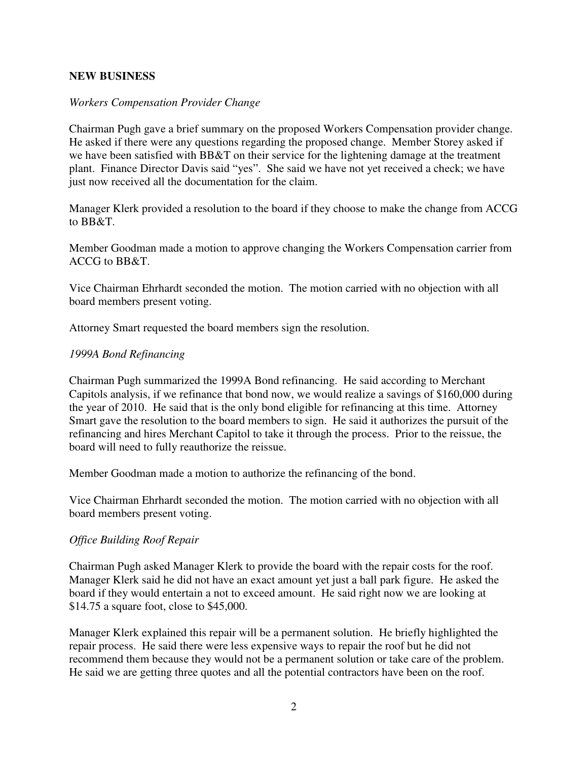#### **NEW BUSINESS**

#### *Workers Compensation Provider Change*

Chairman Pugh gave a brief summary on the proposed Workers Compensation provider change. He asked if there were any questions regarding the proposed change. Member Storey asked if we have been satisfied with BB&T on their service for the lightening damage at the treatment plant. Finance Director Davis said "yes". She said we have not yet received a check; we have just now received all the documentation for the claim.

Manager Klerk provided a resolution to the board if they choose to make the change from ACCG to BB&T.

Member Goodman made a motion to approve changing the Workers Compensation carrier from ACCG to BB&T.

Vice Chairman Ehrhardt seconded the motion. The motion carried with no objection with all board members present voting.

Attorney Smart requested the board members sign the resolution.

#### *1999A Bond Refinancing*

Chairman Pugh summarized the 1999A Bond refinancing. He said according to Merchant Capitols analysis, if we refinance that bond now, we would realize a savings of \$160,000 during the year of 2010. He said that is the only bond eligible for refinancing at this time. Attorney Smart gave the resolution to the board members to sign. He said it authorizes the pursuit of the refinancing and hires Merchant Capitol to take it through the process. Prior to the reissue, the board will need to fully reauthorize the reissue.

Member Goodman made a motion to authorize the refinancing of the bond.

Vice Chairman Ehrhardt seconded the motion. The motion carried with no objection with all board members present voting.

#### *Office Building Roof Repair*

Chairman Pugh asked Manager Klerk to provide the board with the repair costs for the roof. Manager Klerk said he did not have an exact amount yet just a ball park figure. He asked the board if they would entertain a not to exceed amount. He said right now we are looking at \$14.75 a square foot, close to \$45,000.

Manager Klerk explained this repair will be a permanent solution. He briefly highlighted the repair process. He said there were less expensive ways to repair the roof but he did not recommend them because they would not be a permanent solution or take care of the problem. He said we are getting three quotes and all the potential contractors have been on the roof.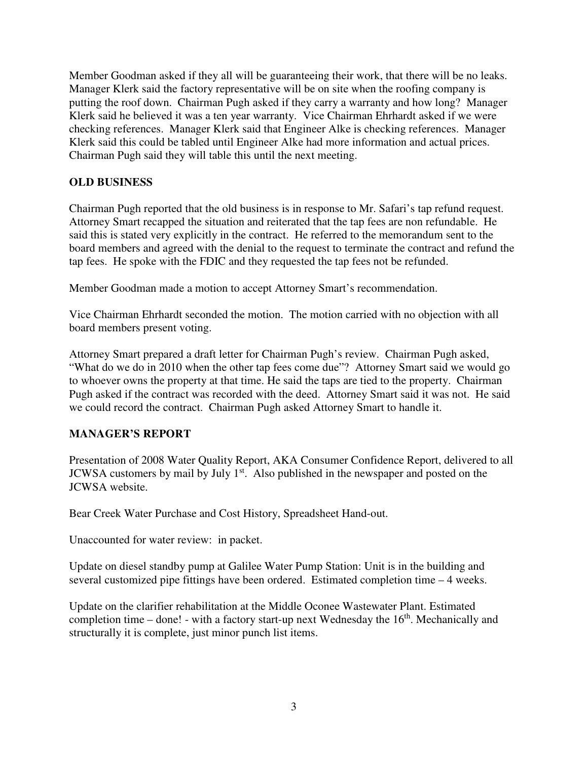Member Goodman asked if they all will be guaranteeing their work, that there will be no leaks. Manager Klerk said the factory representative will be on site when the roofing company is putting the roof down. Chairman Pugh asked if they carry a warranty and how long? Manager Klerk said he believed it was a ten year warranty. Vice Chairman Ehrhardt asked if we were checking references. Manager Klerk said that Engineer Alke is checking references. Manager Klerk said this could be tabled until Engineer Alke had more information and actual prices. Chairman Pugh said they will table this until the next meeting.

## **OLD BUSINESS**

Chairman Pugh reported that the old business is in response to Mr. Safari's tap refund request. Attorney Smart recapped the situation and reiterated that the tap fees are non refundable. He said this is stated very explicitly in the contract. He referred to the memorandum sent to the board members and agreed with the denial to the request to terminate the contract and refund the tap fees. He spoke with the FDIC and they requested the tap fees not be refunded.

Member Goodman made a motion to accept Attorney Smart's recommendation.

Vice Chairman Ehrhardt seconded the motion. The motion carried with no objection with all board members present voting.

Attorney Smart prepared a draft letter for Chairman Pugh's review. Chairman Pugh asked, "What do we do in 2010 when the other tap fees come due"? Attorney Smart said we would go to whoever owns the property at that time. He said the taps are tied to the property. Chairman Pugh asked if the contract was recorded with the deed. Attorney Smart said it was not. He said we could record the contract. Chairman Pugh asked Attorney Smart to handle it.

## **MANAGER'S REPORT**

Presentation of 2008 Water Quality Report, AKA Consumer Confidence Report, delivered to all JCWSA customers by mail by July 1<sup>st</sup>. Also published in the newspaper and posted on the JCWSA website.

Bear Creek Water Purchase and Cost History, Spreadsheet Hand-out.

Unaccounted for water review: in packet.

Update on diesel standby pump at Galilee Water Pump Station: Unit is in the building and several customized pipe fittings have been ordered. Estimated completion time – 4 weeks.

Update on the clarifier rehabilitation at the Middle Oconee Wastewater Plant. Estimated completion time – done! - with a factory start-up next Wednesday the  $16<sup>th</sup>$ . Mechanically and structurally it is complete, just minor punch list items.